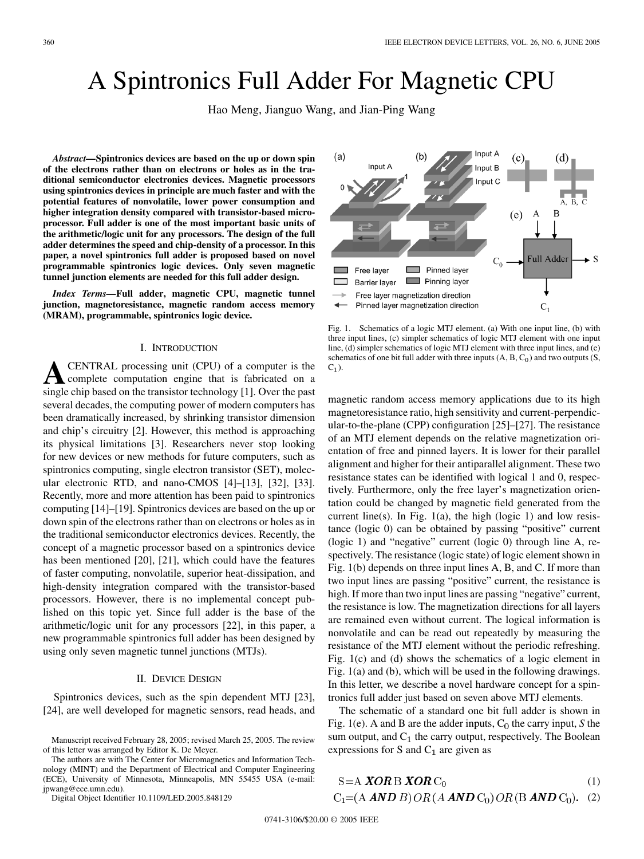# A Spintronics Full Adder For Magnetic CPU

Hao Meng, Jianguo Wang, and Jian-Ping Wang

*Abstract—***Spintronics devices are based on the up or down spin of the electrons rather than on electrons or holes as in the traditional semiconductor electronics devices. Magnetic processors using spintronics devices in principle are much faster and with the potential features of nonvolatile, lower power consumption and higher integration density compared with transistor-based microprocessor. Full adder is one of the most important basic units of the arithmetic/logic unit for any processors. The design of the full adder determines the speed and chip-density of a processor. In this paper, a novel spintronics full adder is proposed based on novel programmable spintronics logic devices. Only seven magnetic tunnel junction elements are needed for this full adder design.**

*Index Terms—***Full adder, magnetic CPU, magnetic tunnel junction, magnetoresistance, magnetic random access memory (MRAM), programmable, spintronics logic device.**

### I. INTRODUCTION

**A**CENTRAL processing unit (CPU) of a computer is the complete computation engine that is fabricated on a single chip based on the transistor technology [\[1](#page-2-0)]. Over the past several decades, the computing power of modern computers has been dramatically increased, by shrinking transistor dimension and chip's circuitry [\[2](#page-2-0)]. However, this method is approaching its physical limitations [\[3](#page-2-0)]. Researchers never stop looking for new devices or new methods for future computers, such as spintronics computing, single electron transistor (SET), molecular electronic RTD, and nano-CMOS [\[4\]](#page-2-0)–[[13\]](#page-2-0), [[32\]](#page-2-0), [[33\]](#page-2-0). Recently, more and more attention has been paid to spintronics computing [\[14](#page-2-0)]–[\[19](#page-2-0)]. Spintronics devices are based on the up or down spin of the electrons rather than on electrons or holes as in the traditional semiconductor electronics devices. Recently, the concept of a magnetic processor based on a spintronics device has been mentioned [\[20](#page-2-0)], [[21\]](#page-2-0), which could have the features of faster computing, nonvolatile, superior heat-dissipation, and high-density integration compared with the transistor-based processors. However, there is no implemental concept published on this topic yet. Since full adder is the base of the arithmetic/logic unit for any processors [[22\]](#page-2-0), in this paper, a new programmable spintronics full adder has been designed by using only seven magnetic tunnel junctions (MTJs).

## II. DEVICE DESIGN

Spintronics devices, such as the spin dependent MTJ [[23\]](#page-2-0), [[24\]](#page-2-0), are well developed for magnetic sensors, read heads, and

Manuscript received February 28, 2005; revised March 25, 2005. The review of this letter was arranged by Editor K. De Meyer.

The authors are with The Center for Micromagnetics and Information Technology (MINT) and the Department of Electrical and Computer Engineering (ECE), University of Minnesota, Minneapolis, MN 55455 USA (e-mail: jpwang@ece.umn.edu).

Digital Object Identifier 10.1109/LED.2005.848129



Fig. 1. Schematics of a logic MTJ element. (a) With one input line, (b) with three input lines, (c) simpler schematics of logic MTJ element with one input line, (d) simpler schematics of logic MTJ element with three input lines, and (e) schematics of one bit full adder with three inputs  $(A, B, C_0)$  and two outputs  $(S,$  $C_1$ ).

magnetic random access memory applications due to its high magnetoresistance ratio, high sensitivity and current-perpendicular-to-the-plane (CPP) configuration [\[25](#page-2-0)]–[[27\]](#page-2-0). The resistance of an MTJ element depends on the relative magnetization orientation of free and pinned layers. It is lower for their parallel alignment and higher for their antiparallel alignment. These two resistance states can be identified with logical 1 and 0, respectively. Furthermore, only the free layer's magnetization orientation could be changed by magnetic field generated from the current line(s). In Fig.  $1(a)$ , the high (logic 1) and low resistance (logic 0) can be obtained by passing "positive" current (logic 1) and "negative" current (logic 0) through line A, respectively. The resistance (logic state) of logic element shown in Fig. 1(b) depends on three input lines A, B, and C. If more than two input lines are passing "positive" current, the resistance is high. If more than two input lines are passing "negative" current, the resistance is low. The magnetization directions for all layers are remained even without current. The logical information is nonvolatile and can be read out repeatedly by measuring the resistance of the MTJ element without the periodic refreshing. Fig. 1(c) and (d) shows the schematics of a logic element in Fig. 1(a) and (b), which will be used in the following drawings. In this letter, we describe a novel hardware concept for a spintronics full adder just based on seven above MTJ elements.

The schematic of a standard one bit full adder is shown in Fig. 1(e). A and B are the adder inputs,  $C_0$  the carry input, *S* the sum output, and  $C_1$  the carry output, respectively. The Boolean expressions for S and  $C_1$  are given as

$$
S = A \, XOR \, B \, XOR \, C_0 \tag{1}
$$
\n
$$
C_1 = (A \, AND \, B) \, OR \, (A \, AND \, C_0) \, OR \, (B \, AND \, C_0). \tag{2}
$$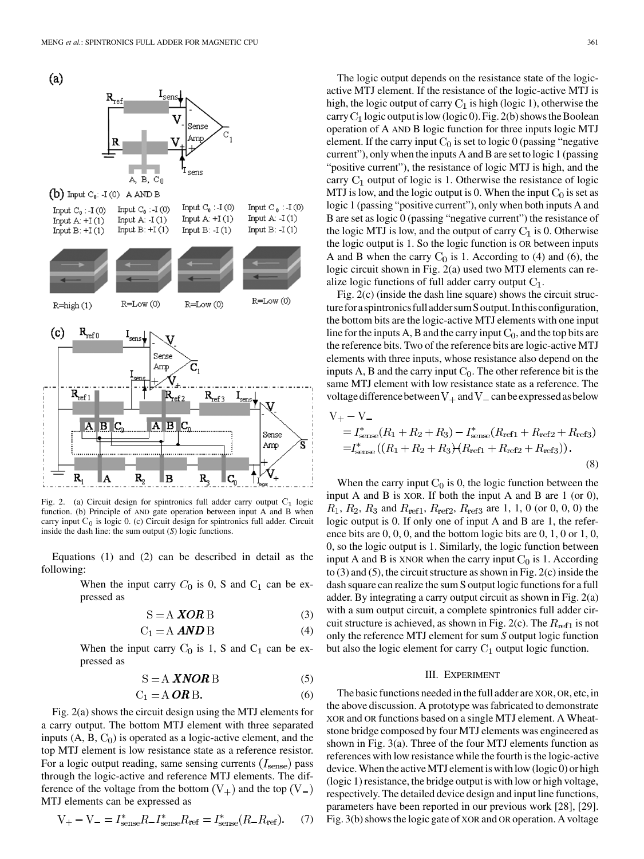

Fig. 2. (a) Circuit design for spintronics full adder carry output  $C_1$  logic function. (b) Principle of AND gate operation between input A and B when carry input  $C_0$  is logic 0. (c) Circuit design for spintronics full adder. Circuit inside the dash line: the sum output (*S*) logic functions.

Equations (1) and (2) can be described in detail as the following:

> When the input carry  $C_0$  is 0, S and  $C_1$  can be expressed as

$$
S = A \, \text{XOR B} \tag{3}
$$

$$
C_1 = A \text{ AND } B \tag{4}
$$

When the input carry  $C_0$  is 1, S and  $C_1$  can be expressed as

$$
S = A \, \text{XNOR B} \tag{5}
$$

$$
C_1 = A \mathbf{ORB}.\tag{6}
$$

Fig. 2(a) shows the circuit design using the MTJ elements for a carry output. The bottom MTJ element with three separated inputs  $(A, B, C_0)$  is operated as a logic-active element, and the top MTJ element is low resistance state as a reference resistor. For a logic output reading, same sensing currents  $(I<sub>sense</sub>)$  pass through the logic-active and reference MTJ elements. The difference of the voltage from the bottom  $(V_+)$  and the top  $(V_-)$ MTJ elements can be expressed as

$$
V_{+} - V_{-} = I_{\text{sense}}^{*} R_{-} I_{\text{sense}}^{*} R_{\text{ref}} = I_{\text{sense}}^{*} (R_{-} R_{\text{ref}}). \tag{7}
$$

The logic output depends on the resistance state of the logicactive MTJ element. If the resistance of the logic-active MTJ is high, the logic output of carry  $C_1$  is high (logic 1), otherwise the carry  $C_1$  logic output is low (logic 0). Fig. 2(b) shows the Boolean operation of A AND B logic function for three inputs logic MTJ element. If the carry input  $C_0$  is set to logic 0 (passing "negative" current"), only when the inputs A and B are set to logic 1 (passing "positive current"), the resistance of logic MTJ is high, and the carry  $C_1$  output of logic is 1. Otherwise the resistance of logic MTJ is low, and the logic output is 0. When the input  $C_0$  is set as logic 1 (passing "positive current"), only when both inputs A and B are set as logic 0 (passing "negative current") the resistance of the logic MTJ is low, and the output of carry  $C_1$  is 0. Otherwise the logic output is 1. So the logic function is OR between inputs A and B when the carry  $C_0$  is 1. According to (4) and (6), the logic circuit shown in Fig. 2(a) used two MTJ elements can realize logic functions of full adder carry output  $C_1$ .

Fig. 2(c) (inside the dash line square) shows the circuit structure for a spintronics full adder sum S output. In this configuration, the bottom bits are the logic-active MTJ elements with one input line for the inputs A, B and the carry input  $C_0$ , and the top bits are the reference bits. Two of the reference bits are logic-active MTJ elements with three inputs, whose resistance also depend on the inputs A, B and the carry input  $C_0$ . The other reference bit is the same MTJ element with low resistance state as a reference. The voltage difference between  $V_+$  and  $V_-$  can be expressed as below

$$
V_{+} - V_{-}
$$
  
=  $I_{\text{sense}}^{*}(R_1 + R_2 + R_3) - I_{\text{sense}}^{*}(R_{\text{ref1}} + R_{\text{ref2}} + R_{\text{ref3}})$   
=  $I_{\text{sense}}^{*}((R_1 + R_2 + R_3) + (R_{\text{ref1}} + R_{\text{ref2}} + R_{\text{ref3}})).$  (8)

When the carry input  $C_0$  is 0, the logic function between the input A and B is XOR. If both the input A and B are 1 (or 0),  $R_1, R_2, R_3$  and  $R_{ref1}, R_{ref2}, R_{ref3}$  are 1, 1, 0 (or 0, 0, 0) the logic output is 0. If only one of input A and B are 1, the reference bits are 0, 0, 0, and the bottom logic bits are 0, 1, 0 or 1, 0, 0, so the logic output is 1. Similarly, the logic function between input A and B is XNOR when the carry input  $C_0$  is 1. According to (3) and (5), the circuit structure as shown in Fig. 2(c) inside the dash square can realize the sum S output logic functions for a full adder. By integrating a carry output circuit as shown in Fig. 2(a) with a sum output circuit, a complete spintronics full adder circuit structure is achieved, as shown in Fig. 2(c). The  $R_{ref1}$  is not only the reference MTJ element for sum *S* output logic function but also the logic element for carry  $C_1$  output logic function.

### III. EXPERIMENT

The basic functions needed in the full adder are XOR, OR, etc, in the above discussion. A prototype was fabricated to demonstrate XOR and OR functions based on a single MTJ element. A Wheatstone bridge composed by four MTJ elements was engineered as shown in Fig. 3(a). Three of the four MTJ elements function as references with low resistance while the fourth is the logic-active device. When the active MTJ element is with low (logic 0) or high (logic 1) resistance, the bridge output is with low or high voltage, respectively. The detailed device design and input line functions, parameters have been reported in our previous work [[28\]](#page-2-0), [\[29](#page-2-0)]. Fig. 3(b) shows the logic gate of XOR and OR operation. A voltage